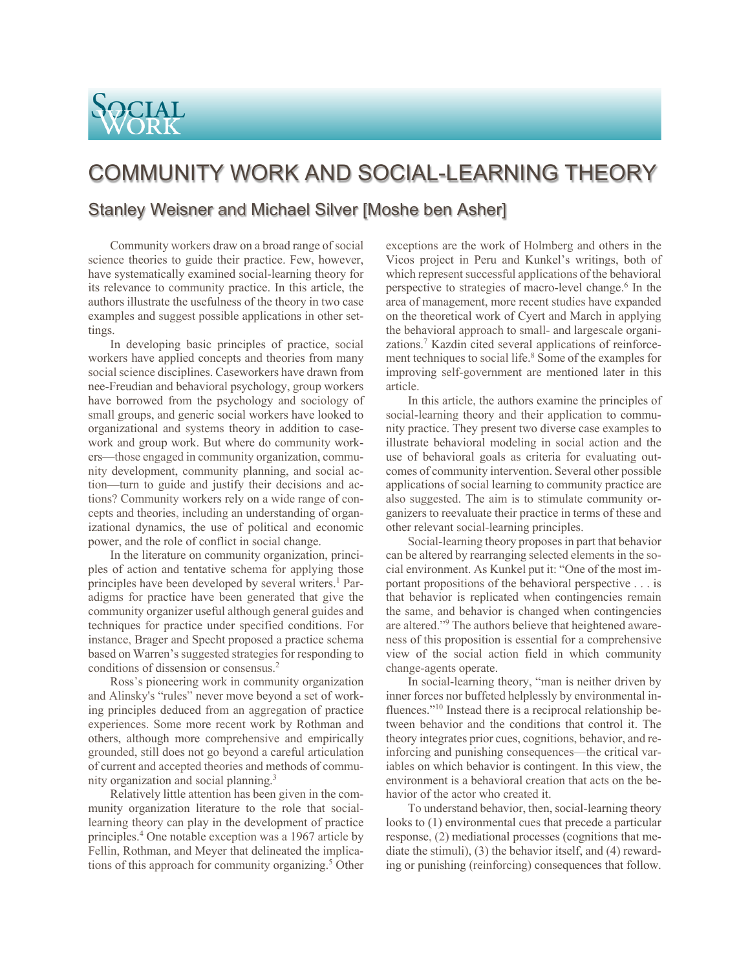# COMMUNITY WORK AND SOCIAL-LEARNING THEORY

## Stanley Weisner and Michael Silver [Moshe ben Asher]

Community workers draw on a broad range of social science theories to guide their practice. Few, however, have systematically examined social-learning theory for its relevance to community practice. In this article, the authors illustrate the usefulness of the theory in two case examples and suggest possible applications in other settings.

In developing basic principles of practice, social workers have applied concepts and theories from many social science disciplines. Caseworkers have drawn from nee-Freudian and behavioral psychology, group workers have borrowed from the psychology and sociology of small groups, and generic social workers have looked to organizational and systems theory in addition to casework and group work. But where do community workers—those engaged in community organization, community development, community planning, and social action—turn to guide and justify their decisions and actions? Community workers rely on a wide range of concepts and theories, including an understanding of organizational dynamics, the use of political and economic power, and the role of conflict in social change.

In the literature on community organization, principles of action and tentative schema for applying those principles have been developed by several writers.<sup>1</sup> Paradigms for practice have been generated that give the community organizer useful although general guides and techniques for practice under specified conditions. For instance, Brager and Specht proposed a practice schema based on Warren's suggested strategies for responding to conditions of dissension or consensus.2

Ross's pioneering work in community organization and Alinsky's "rules" never move beyond a set of working principles deduced from an aggregation of practice experiences. Some more recent work by Rothman and others, although more comprehensive and empirically grounded, still does not go beyond a careful articulation of current and accepted theories and methods of community organization and social planning.3

Relatively little attention has been given in the community organization literature to the role that sociallearning theory can play in the development of practice principles.4 One notable exception was a 1967 article by Fellin, Rothman, and Meyer that delineated the implications of this approach for community organizing.<sup>5</sup> Other

exceptions are the work of Holmberg and others in the Vicos project in Peru and Kunkel's writings, both of which represent successful applications of the behavioral perspective to strategies of macro-level change.<sup>6</sup> In the area of management, more recent studies have expanded on the theoretical work of Cyert and March in applying the behavioral approach to small- and largescale organizations.<sup>7</sup> Kazdin cited several applications of reinforcement techniques to social life.<sup>8</sup> Some of the examples for improving self-government are mentioned later in this article.

In this article, the authors examine the principles of social-learning theory and their application to community practice. They present two diverse case examples to illustrate behavioral modeling in social action and the use of behavioral goals as criteria for evaluating outcomes of community intervention. Several other possible applications of social learning to community practice are also suggested. The aim is to stimulate community organizers to reevaluate their practice in terms of these and other relevant social-learning principles.

Social-learning theory proposes in part that behavior can be altered by rearranging selected elements in the social environment. As Kunkel put it: "One of the most important propositions of the behavioral perspective . . . is that behavior is replicated when contingencies remain the same, and behavior is changed when contingencies are altered."9 The authors believe that heightened awareness of this proposition is essential for a comprehensive view of the social action field in which community change-agents operate.

In social-learning theory, "man is neither driven by inner forces nor buffeted helplessly by environmental influences."10 Instead there is a reciprocal relationship between behavior and the conditions that control it. The theory integrates prior cues, cognitions, behavior, and reinforcing and punishing consequences—the critical variables on which behavior is contingent. In this view, the environment is a behavioral creation that acts on the behavior of the actor who created it.

To understand behavior, then, social-learning theory looks to (1) environmental cues that precede a particular response, (2) mediational processes (cognitions that mediate the stimuli), (3) the behavior itself, and (4) rewarding or punishing (reinforcing) consequences that follow.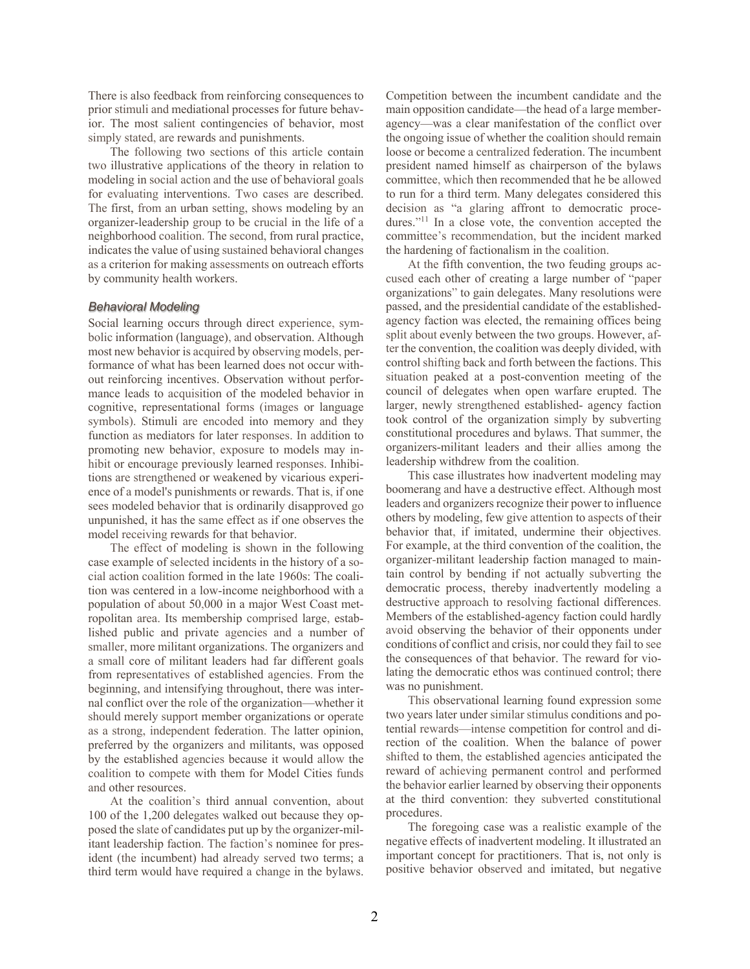There is also feedback from reinforcing consequences to prior stimuli and mediational processes for future behavior. The most salient contingencies of behavior, most simply stated, are rewards and punishments.

The following two sections of this article contain two illustrative applications of the theory in relation to modeling in social action and the use of behavioral goals for evaluating interventions. Two cases are described. The first, from an urban setting, shows modeling by an organizer-leadership group to be crucial in the life of a neighborhood coalition. The second, from rural practice, indicates the value of using sustained behavioral changes as a criterion for making assessments on outreach efforts by community health workers.

#### *Behavioral Modeling*

Social learning occurs through direct experience, symbolic information (language), and observation. Although most new behavior is acquired by observing models, performance of what has been learned does not occur without reinforcing incentives. Observation without performance leads to acquisition of the modeled behavior in cognitive, representational forms (images or language symbols). Stimuli are encoded into memory and they function as mediators for later responses. In addition to promoting new behavior, exposure to models may inhibit or encourage previously learned responses. Inhibitions are strengthened or weakened by vicarious experience of a model's punishments or rewards. That is, if one sees modeled behavior that is ordinarily disapproved go unpunished, it has the same effect as if one observes the model receiving rewards for that behavior.

The effect of modeling is shown in the following case example of selected incidents in the history of a social action coalition formed in the late 1960s: The coalition was centered in a low-income neighborhood with a population of about 50,000 in a major West Coast metropolitan area. Its membership comprised large, established public and private agencies and a number of smaller, more militant organizations. The organizers and a small core of militant leaders had far different goals from representatives of established agencies. From the beginning, and intensifying throughout, there was internal conflict over the role of the organization—whether it should merely support member organizations or operate as a strong, independent federation. The latter opinion, preferred by the organizers and militants, was opposed by the established agencies because it would allow the coalition to compete with them for Model Cities funds and other resources.

At the coalition's third annual convention, about 100 of the 1,200 delegates walked out because they opposed the slate of candidates put up by the organizer-militant leadership faction. The faction's nominee for president (the incumbent) had already served two terms; a third term would have required a change in the bylaws. Competition between the incumbent candidate and the main opposition candidate—the head of a large memberagency—was a clear manifestation of the conflict over the ongoing issue of whether the coalition should remain loose or become a centralized federation. The incumbent president named himself as chairperson of the bylaws committee, which then recommended that he be allowed to run for a third term. Many delegates considered this decision as "a glaring affront to democratic procedures."<sup>11</sup> In a close vote, the convention accepted the committee's recommendation, but the incident marked the hardening of factionalism in the coalition.

At the fifth convention, the two feuding groups accused each other of creating a large number of "paper organizations" to gain delegates. Many resolutions were passed, and the presidential candidate of the establishedagency faction was elected, the remaining offices being split about evenly between the two groups. However, after the convention, the coalition was deeply divided, with control shifting back and forth between the factions. This situation peaked at a post-convention meeting of the council of delegates when open warfare erupted. The larger, newly strengthened established- agency faction took control of the organization simply by subverting constitutional procedures and bylaws. That summer, the organizers-militant leaders and their allies among the leadership withdrew from the coalition.

This case illustrates how inadvertent modeling may boomerang and have a destructive effect. Although most leaders and organizers recognize their power to influence others by modeling, few give attention to aspects of their behavior that, if imitated, undermine their objectives. For example, at the third convention of the coalition, the organizer-militant leadership faction managed to maintain control by bending if not actually subverting the democratic process, thereby inadvertently modeling a destructive approach to resolving factional differences. Members of the established-agency faction could hardly avoid observing the behavior of their opponents under conditions of conflict and crisis, nor could they fail to see the consequences of that behavior. The reward for violating the democratic ethos was continued control; there was no punishment.

This observational learning found expression some two years later under similar stimulus conditions and potential rewards—intense competition for control and direction of the coalition. When the balance of power shifted to them, the established agencies anticipated the reward of achieving permanent control and performed the behavior earlier learned by observing their opponents at the third convention: they subverted constitutional procedures.

The foregoing case was a realistic example of the negative effects of inadvertent modeling. It illustrated an important concept for practitioners. That is, not only is positive behavior observed and imitated, but negative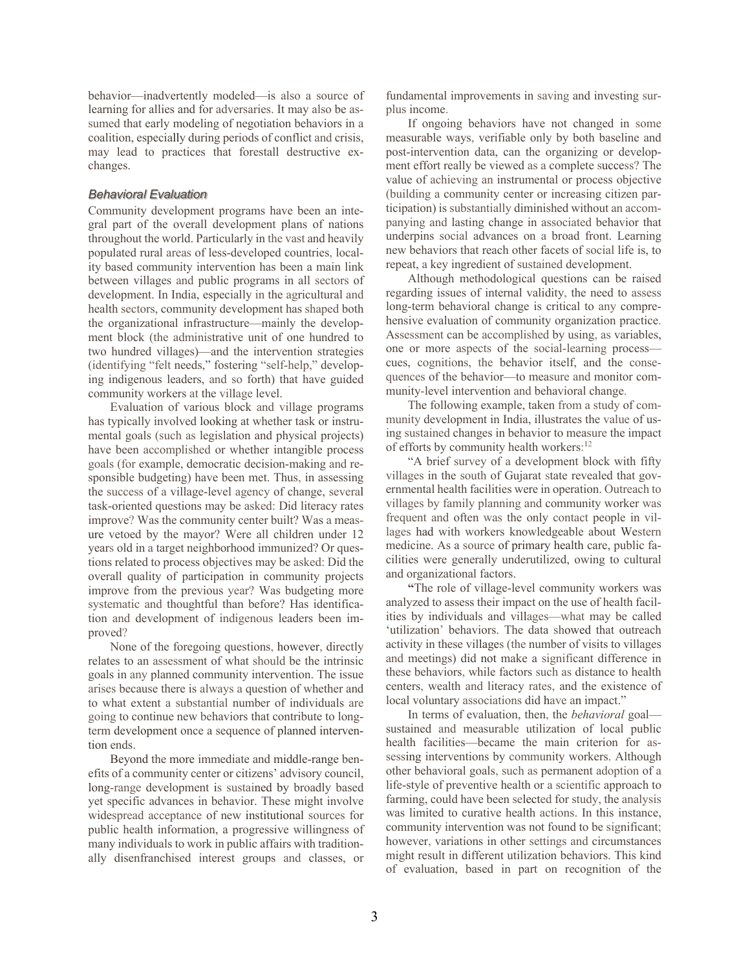behavior—inadvertently modeled—is also a source of learning for allies and for adversaries. It may also be assumed that early modeling of negotiation behaviors in a coalition, especially during periods of conflict and crisis, may lead to practices that forestall destructive exchanges.

#### *Behavioral Evaluation*

Community development programs have been an integral part of the overall development plans of nations throughout the world. Particularly in the vast and heavily populated rural areas of less-developed countries, locality based community intervention has been a main link between villages and public programs in all sectors of development. In India, especially in the agricultural and health sectors, community development has shaped both the organizational infrastructure—mainly the development block (the administrative unit of one hundred to two hundred villages)—and the intervention strategies (identifying "felt needs," fostering "self-help," developing indigenous leaders, and so forth) that have guided community workers at the village level.

Evaluation of various block and village programs has typically involved looking at whether task or instrumental goals (such as legislation and physical projects) have been accomplished or whether intangible process goals (for example, democratic decision-making and responsible budgeting) have been met. Thus, in assessing the success of a village-level agency of change, several task-oriented questions may be asked: Did literacy rates improve? Was the community center built? Was a measure vetoed by the mayor? Were all children under 12 years old in a target neighborhood immunized? Or questions related to process objectives may be asked: Did the overall quality of participation in community projects improve from the previous year? Was budgeting more systematic and thoughtful than before? Has identification and development of indigenous leaders been improved?

None of the foregoing questions, however, directly relates to an assessment of what should be the intrinsic goals in any planned community intervention. The issue arises because there is always a question of whether and to what extent a substantial number of individuals are going to continue new behaviors that contribute to longterm development once a sequence of planned intervention ends.

Beyond the more immediate and middle-range benefits of a community center or citizens' advisory council, long-range development is sustained by broadly based yet specific advances in behavior. These might involve widespread acceptance of new institutional sources for public health information, a progressive willingness of many individuals to work in public affairs with traditionally disenfranchised interest groups and classes, or

fundamental improvements in saving and investing surplus income.

If ongoing behaviors have not changed in some measurable ways, verifiable only by both baseline and post-intervention data, can the organizing or development effort really be viewed as a complete success? The value of achieving an instrumental or process objective (building a community center or increasing citizen participation) is substantially diminished without an accompanying and lasting change in associated behavior that underpins social advances on a broad front. Learning new behaviors that reach other facets of social life is, to repeat, a key ingredient of sustained development.

Although methodological questions can be raised regarding issues of internal validity, the need to assess long-term behavioral change is critical to any comprehensive evaluation of community organization practice. Assessment can be accomplished by using, as variables, one or more aspects of the social-learning process cues, cognitions, the behavior itself, and the consequences of the behavior—to measure and monitor community-level intervention and behavioral change.

The following example, taken from a study of community development in India, illustrates the value of using sustained changes in behavior to measure the impact of efforts by community health workers:<sup>12</sup>

"A brief survey of a development block with fifty villages in the south of Gujarat state revealed that governmental health facilities were in operation. Outreach to villages by family planning and community worker was frequent and often was the only contact people in villages had with workers knowledgeable about Western medicine. As a source of primary health care, public facilities were generally underutilized, owing to cultural and organizational factors.

**"**The role of village-level community workers was analyzed to assess their impact on the use of health facilities by individuals and villages—what may be called 'utilization' behaviors. The data showed that outreach activity in these villages (the number of visits to villages and meetings) did not make a significant difference in these behaviors, while factors such as distance to health centers, wealth and literacy rates, and the existence of local voluntary associations did have an impact."

In terms of evaluation, then, the *behavioral* goal sustained and measurable utilization of local public health facilities—became the main criterion for assessing interventions by community workers. Although other behavioral goals, such as permanent adoption of a life-style of preventive health or a scientific approach to farming, could have been selected for study, the analysis was limited to curative health actions. In this instance, community intervention was not found to be significant; however, variations in other settings and circumstances might result in different utilization behaviors. This kind of evaluation, based in part on recognition of the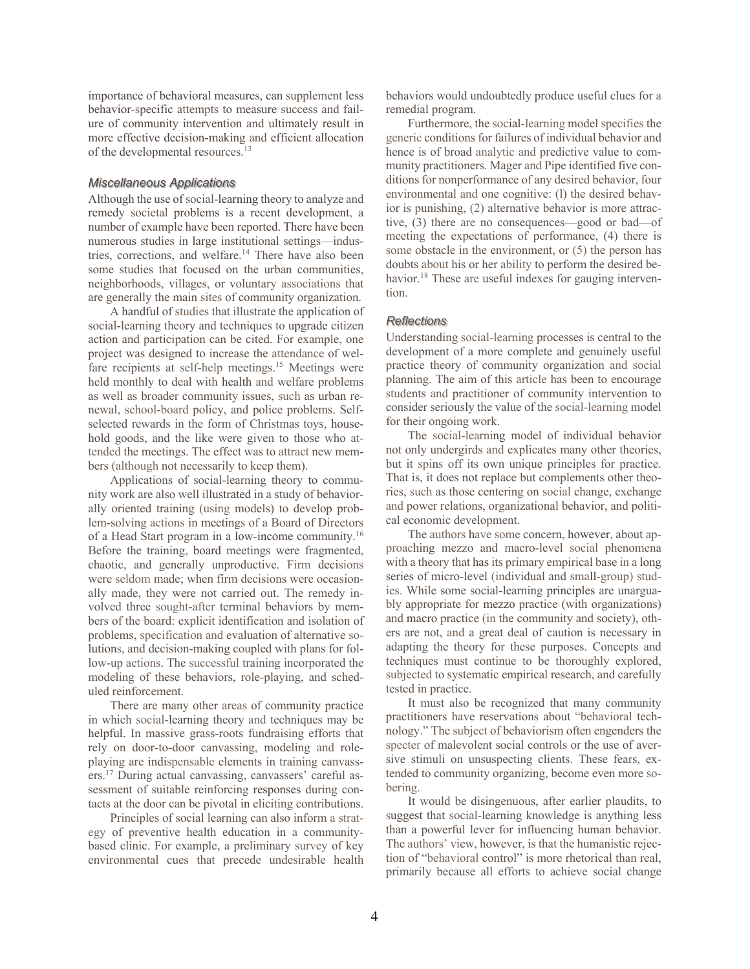importance of behavioral measures, can supplement less behavior-specific attempts to measure success and failure of community intervention and ultimately result in more effective decision-making and efficient allocation of the developmental resources.<sup>13</sup>

#### *Miscellaneous Applications*

Although the use of social-learning theory to analyze and remedy societal problems is a recent development, a number of example have been reported. There have been numerous studies in large institutional settings—industries, corrections, and welfare.<sup>14</sup> There have also been some studies that focused on the urban communities, neighborhoods, villages, or voluntary associations that are generally the main sites of community organization.

A handful of studies that illustrate the application of social-learning theory and techniques to upgrade citizen action and participation can be cited. For example, one project was designed to increase the attendance of welfare recipients at self-help meetings.<sup>15</sup> Meetings were held monthly to deal with health and welfare problems as well as broader community issues, such as urban renewal, school-board policy, and police problems. Selfselected rewards in the form of Christmas toys, household goods, and the like were given to those who attended the meetings. The effect was to attract new members (although not necessarily to keep them).

Applications of social-learning theory to community work are also well illustrated in a study of behaviorally oriented training (using models) to develop problem-solving actions in meetings of a Board of Directors of a Head Start program in a low-income community.16 Before the training, board meetings were fragmented, chaotic, and generally unproductive. Firm decisions were seldom made; when firm decisions were occasionally made, they were not carried out. The remedy involved three sought-after terminal behaviors by members of the board: explicit identification and isolation of problems, specification and evaluation of alternative solutions, and decision-making coupled with plans for follow-up actions. The successful training incorporated the modeling of these behaviors, role-playing, and scheduled reinforcement.

There are many other areas of community practice in which social-learning theory and techniques may be helpful. In massive grass-roots fundraising efforts that rely on door-to-door canvassing, modeling and roleplaying are indispensable elements in training canvassers.17 During actual canvassing, canvassers' careful assessment of suitable reinforcing responses during contacts at the door can be pivotal in eliciting contributions.

Principles of social learning can also inform a strategy of preventive health education in a communitybased clinic. For example, a preliminary survey of key environmental cues that precede undesirable health behaviors would undoubtedly produce useful clues for a remedial program.

Furthermore, the social-learning model specifies the generic conditions for failures of individual behavior and hence is of broad analytic and predictive value to community practitioners. Mager and Pipe identified five conditions for nonperformance of any desired behavior, four environmental and one cognitive: (l) the desired behavior is punishing, (2) alternative behavior is more attractive, (3) there are no consequences—good or bad—of meeting the expectations of performance, (4) there is some obstacle in the environment, or (5) the person has doubts about his or her ability to perform the desired behavior.<sup>18</sup> These are useful indexes for gauging intervention.

#### *Reflections*

Understanding social-learning processes is central to the development of a more complete and genuinely useful practice theory of community organization and social planning. The aim of this article has been to encourage students and practitioner of community intervention to consider seriously the value of the social-learning model for their ongoing work.

The social-learning model of individual behavior not only undergirds and explicates many other theories, but it spins off its own unique principles for practice. That is, it does not replace but complements other theories, such as those centering on social change, exchange and power relations, organizational behavior, and political economic development.

The authors have some concern, however, about approaching mezzo and macro-level social phenomena with a theory that has its primary empirical base in a long series of micro-level (individual and small-group) studies. While some social-learning principles are unarguably appropriate for mezzo practice (with organizations) and macro practice (in the community and society), others are not, and a great deal of caution is necessary in adapting the theory for these purposes. Concepts and techniques must continue to be thoroughly explored, subjected to systematic empirical research, and carefully tested in practice.

It must also be recognized that many community practitioners have reservations about "behavioral technology." The subject of behaviorism often engenders the specter of malevolent social controls or the use of aversive stimuli on unsuspecting clients. These fears, extended to community organizing, become even more sobering.

It would be disingenuous, after earlier plaudits, to suggest that social-learning knowledge is anything less than a powerful lever for influencing human behavior. The authors' view, however, is that the humanistic rejection of "behavioral control" is more rhetorical than real, primarily because all efforts to achieve social change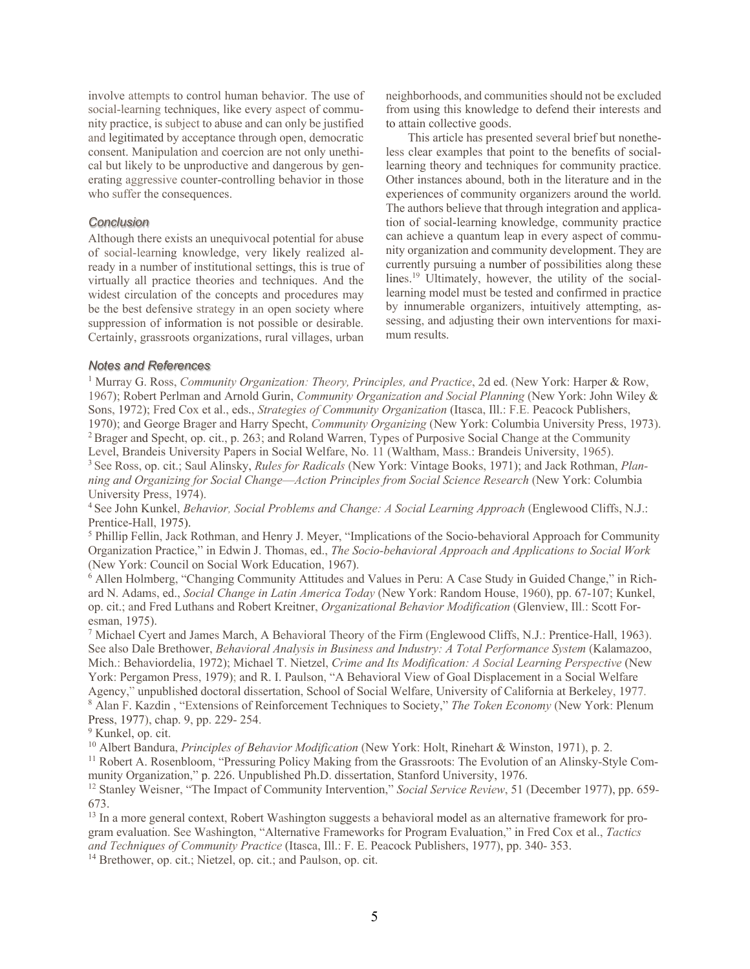involve attempts to control human behavior. The use of social-learning techniques, like every aspect of community practice, is subject to abuse and can only be justified and legitimated by acceptance through open, democratic consent. Manipulation and coercion are not only unethical but likely to be unproductive and dangerous by generating aggressive counter-controlling behavior in those who suffer the consequences.

### *Conclusion*

Although there exists an unequivocal potential for abuse of social-learning knowledge, very likely realized already in a number of institutional settings, this is true of virtually all practice theories and techniques. And the widest circulation of the concepts and procedures may be the best defensive strategy in an open society where suppression of information is not possible or desirable. Certainly, grassroots organizations, rural villages, urban

neighborhoods, and communities should not be excluded from using this knowledge to defend their interests and to attain collective goods.

This article has presented several brief but nonetheless clear examples that point to the benefits of sociallearning theory and techniques for community practice. Other instances abound, both in the literature and in the experiences of community organizers around the world. The authors believe that through integration and application of social-learning knowledge, community practice can achieve a quantum leap in every aspect of community organization and community development. They are currently pursuing a number of possibilities along these lines.<sup>19</sup> Ultimately, however, the utility of the sociallearning model must be tested and confirmed in practice by innumerable organizers, intuitively attempting, assessing, and adjusting their own interventions for maximum results.

### *Notes and References*

<sup>1</sup> Murray G. Ross, *Community Organization: Theory, Principles, and Practice*, 2d ed. (New York: Harper & Row, 1967); Robert Perlman and Arnold Gurin, *Community Organization and Social Planning* (New York: John Wiley & Sons, 1972); Fred Cox et al., eds., *Strategies of Community Organization* (Itasca, Ill.: F.E. Peacock Publishers, 1970); and George Brager and Harry Specht, *Community Organizing* (New York: Columbia University Press, 1973). <sup>2</sup> Brager and Specht, op. cit., p. 263; and Roland Warren, Types of Purposive Social Change at the Community Level, Brandeis University Papers in Social Welfare, No. 11 (Waltham, Mass.: Brandeis University, 1965). <sup>3</sup> See Ross, op. cit.; Saul Alinsky, *Rules for Radicals* (New York: Vintage Books, 1971); and Jack Rothman, *Planning and Organizing for Social Change*—*Action Principles from Social Science Research* (New York: Columbia University Press, 1974).

<sup>4</sup> See John Kunkel, *Behavior, Social Problems and Change: A Social Learning Approach* (Englewood Cliffs, N.J.: Prentice-Hall, 1975).

<sup>5</sup> Phillip Fellin, Jack Rothman, and Henry J. Meyer, "Implications of the Socio-behavioral Approach for Community Organization Practice," in Edwin J. Thomas, ed., *The Socio-behavioral Approach and Applications to Social Work* (New York: Council on Social Work Education, 1967).

<sup>6</sup> Allen Holmberg, "Changing Community Attitudes and Values in Peru: A Case Study in Guided Change," in Richard N. Adams, ed., *Social Change in Latin America Today* (New York: Random House, 1960), pp. 67-107; Kunkel, op. cit.; and Fred Luthans and Robert Kreitner, *Organizational Behavior Modification* (Glenview, Ill.: Scott Foresman, 1975).

<sup>7</sup> Michael Cyert and James March, A Behavioral Theory of the Firm (Englewood Cliffs, N.J.: Prentice-Hall, 1963). See also Dale Brethower, *Behavioral Analysis in Business and Industry: A Total Performance System* (Kalamazoo, Mich.: Behaviordelia, 1972); Michael T. Nietzel, *Crime and Its Modification: A Social Learning Perspective* (New York: Pergamon Press, 1979); and R. I. Paulson, "A Behavioral View of Goal Displacement in a Social Welfare Agency," unpublished doctoral dissertation, School of Social Welfare, University of California at Berkeley, 1977. <sup>8</sup> Alan F. Kazdin , "Extensions of Reinforcement Techniques to Society," *The Token Economy* (New York: Plenum Press, 1977), chap. 9, pp. 229- 254.

<sup>9</sup> Kunkel, op. cit.

<sup>10</sup> Albert Bandura, *Principles of Behavior Modification* (New York: Holt, Rinehart & Winston, 1971), p. 2.

<sup>11</sup> Robert A. Rosenbloom, "Pressuring Policy Making from the Grassroots: The Evolution of an Alinsky-Style Community Organization," p. 226. Unpublished Ph.D. dissertation, Stanford University, 1976.

<sup>12</sup> Stanley Weisner, "The Impact of Community Intervention," *Social Service Review*, 51 (December 1977), pp. 659-673.

<sup>13</sup> In a more general context, Robert Washington suggests a behavioral model as an alternative framework for program evaluation. See Washington, "Alternative Frameworks for Program Evaluation," in Fred Cox et al., *Tactics and Techniques of Community Practice* (Itasca, Ill.: F. E. Peacock Publishers, 1977), pp. 340- 353.

<sup>14</sup> Brethower, op. cit.; Nietzel, op. cit.; and Paulson, op. cit.